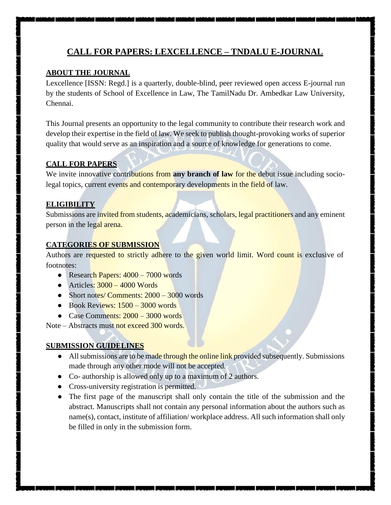# **CALL FOR PAPERS: LEXCELLENCE – TNDALU E-JOURNAL**

#### **ABOUT THE JOURNAL**

Lexcellence [ISSN: Regd.] is a quarterly, double-blind, peer reviewed open access E-journal run by the students of School of Excellence in Law, The TamilNadu Dr. Ambedkar Law University, Chennai.

This Journal presents an opportunity to the legal community to contribute their research work and develop their expertise in the field of law. We seek to publish thought-provoking works of superior quality that would serve as an inspiration and a source of knowledge for generations to come.

#### **CALL FOR PAPERS**

We invite innovative contributions from any branch of law for the debut issue including sociolegal topics, current events and contemporary developments in the field of law.

#### **ELIGIBILITY**

Submissions are invited from students, academicians, scholars, legal practitioners and any eminent person in the legal arena.

#### **CATEGORIES OF SUBMISSION**

Authors are requested to strictly adhere to the given world limit. Word count is exclusive of footnotes:

- Research Papers: 4000 7000 words
- $\bullet$  Articles:  $3000 4000$  Words
- Short notes/ Comments: 2000 3000 words
- $\bullet$  Book Reviews:  $1500 3000$  words
- Case Comments:  $2000 3000$  words

Note – Abstracts must not exceed 300 words.

#### **SUBMISSION GUIDELINES**

- All submissions are to be made through the online link provided subsequently. Submissions made through any other mode will not be accepted.
- Co- authorship is allowed only up to a maximum of 2 authors.
- Cross-university registration is permitted.
- The first page of the manuscript shall only contain the title of the submission and the abstract. Manuscripts shall not contain any personal information about the authors such as name(s), contact, institute of affiliation/ workplace address. All such information shall only be filled in only in the submission form.